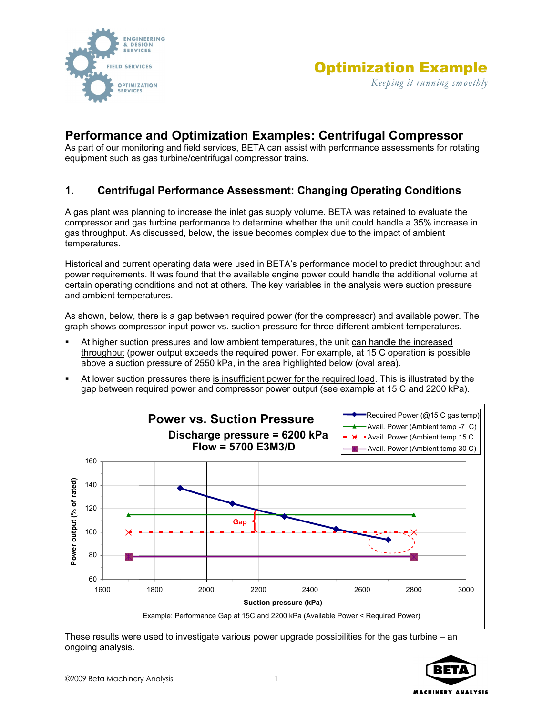



# **Performance and Optimization Examples: Centrifugal Compressor**

As part of our monitoring and field services, BETA can assist with performance assessments for rotating equipment such as gas turbine/centrifugal compressor trains.

#### **1. Centrifugal Performance Assessment: Changing Operating Conditions**

A gas plant was planning to increase the inlet gas supply volume. BETA was retained to evaluate the compressor and gas turbine performance to determine whether the unit could handle a 35% increase in gas throughput. As discussed, below, the issue becomes complex due to the impact of ambient temperatures.

Historical and current operating data were used in BETA's performance model to predict throughput and power requirements. It was found that the available engine power could handle the additional volume at certain operating conditions and not at others. The key variables in the analysis were suction pressure and ambient temperatures.

As shown, below, there is a gap between required power (for the compressor) and available power. The graph shows compressor input power vs. suction pressure for three different ambient temperatures.

- At higher suction pressures and low ambient temperatures, the unit can handle the increased throughput (power output exceeds the required power. For example, at 15 C operation is possible above a suction pressure of 2550 kPa, in the area highlighted below (oval area).
- At lower suction pressures there is insufficient power for the required load. This is illustrated by the gap between required power and compressor power output (see example at 15 C and 2200 kPa).



These results were used to investigate various power upgrade possibilities for the gas turbine – an ongoing analysis.

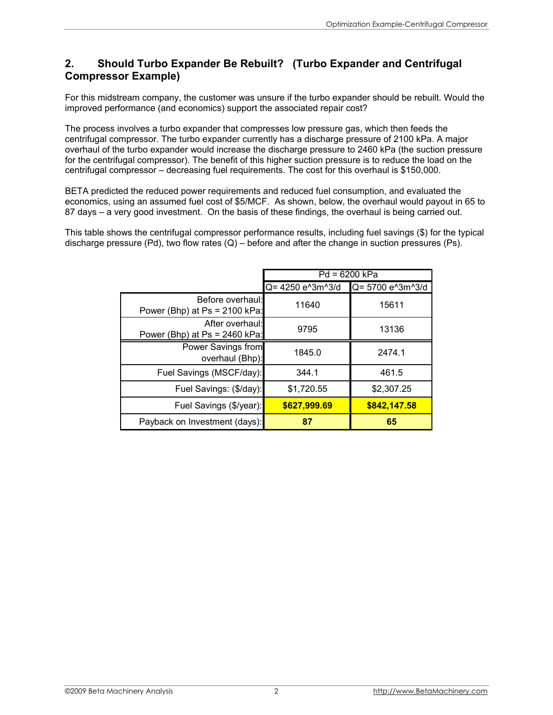## **2. Should Turbo Expander Be Rebuilt? (Turbo Expander and Centrifugal Compressor Example)**

For this midstream company, the customer was unsure if the turbo expander should be rebuilt. Would the improved performance (and economics) support the associated repair cost?

The process involves a turbo expander that compresses low pressure gas, which then feeds the centrifugal compressor. The turbo expander currently has a discharge pressure of 2100 kPa. A major overhaul of the turbo expander would increase the discharge pressure to 2460 kPa (the suction pressure for the centrifugal compressor). The benefit of this higher suction pressure is to reduce the load on the centrifugal compressor – decreasing fuel requirements. The cost for this overhaul is \$150,000.

BETA predicted the reduced power requirements and reduced fuel consumption, and evaluated the economics, using an assumed fuel cost of \$5/MCF. As shown, below, the overhaul would payout in 65 to 87 days – a very good investment. On the basis of these findings, the overhaul is being carried out.

This table shows the centrifugal compressor performance results, including fuel savings (\$) for the typical discharge pressure (Pd), two flow rates  $(Q)$  – before and after the change in suction pressures (Ps).

|                                                     | $Pd = 6200 kPa$  |                  |
|-----------------------------------------------------|------------------|------------------|
|                                                     | Q= 4250 e^3m^3/d | Q= 5700 e^3m^3/d |
| Before overhaul:<br>Power (Bhp) at $Ps = 2100$ kPa: | 11640            | 15611            |
| After overhaul:<br>Power (Bhp) at $Ps = 2460$ kPa:  | 9795             | 13136            |
| Power Savings from<br>overhaul (Bhp):               | 1845.0           | 2474.1           |
| Fuel Savings (MSCF/day):                            | 344.1            | 461.5            |
| Fuel Savings: (\$/day):                             | \$1,720.55       | \$2,307.25       |
| Fuel Savings (\$/year):                             | \$627,999.69     | \$842,147.58     |
| Payback on Investment (days):                       | 87               | 65               |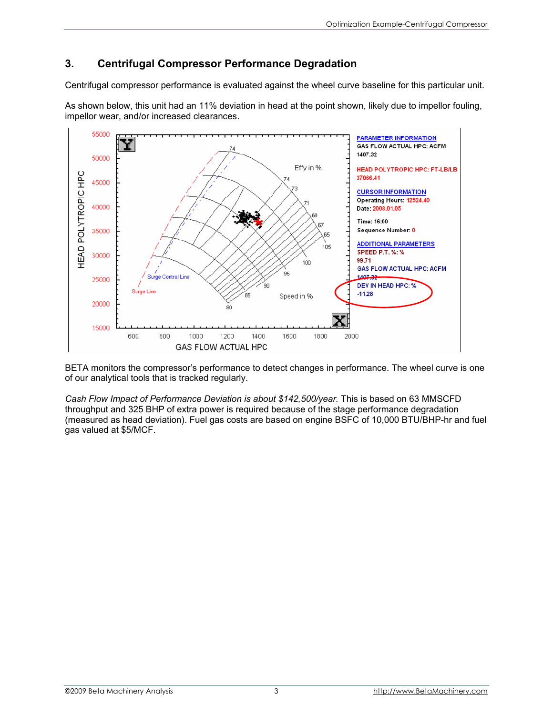# **3. Centrifugal Compressor Performance Degradation**

Centrifugal compressor performance is evaluated against the wheel curve baseline for this particular unit.

As shown below, this unit had an 11% deviation in head at the point shown, likely due to impellor fouling, impellor wear, and/or increased clearances.



BETA monitors the compressor's performance to detect changes in performance. The wheel curve is one of our analytical tools that is tracked regularly.

*Cash Flow Impact of Performance Deviation is about \$142,500/year.* This is based on 63 MMSCFD throughput and 325 BHP of extra power is required because of the stage performance degradation (measured as head deviation). Fuel gas costs are based on engine BSFC of 10,000 BTU/BHP-hr and fuel gas valued at \$5/MCF.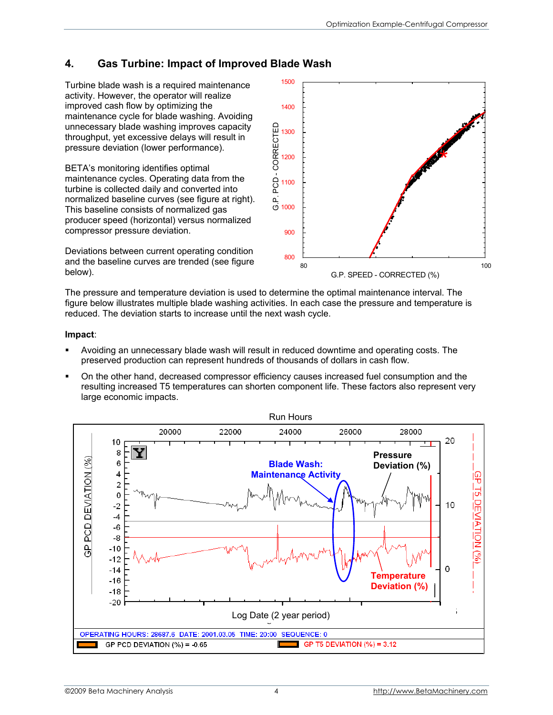## **4. Gas Turbine: Impact of Improved Blade Wash**

Turbine blade wash is a required maintenance activity. However, the operator will realize improved cash flow by optimizing the maintenance cycle for blade washing. Avoiding unnecessary blade washing improves capacity throughput, yet excessive delays will result in pressure deviation (lower performance).

BETA's monitoring identifies optimal maintenance cycles. Operating data from the turbine is collected daily and converted into normalized baseline curves (see figure at right). This baseline consists of normalized gas producer speed (horizontal) versus normalized compressor pressure deviation.

Deviations between current operating condition and the baseline curves are trended (see figure below).



The pressure and temperature deviation is used to determine the optimal maintenance interval. The figure below illustrates multiple blade washing activities. In each case the pressure and temperature is reduced. The deviation starts to increase until the next wash cycle.

#### **Impact**:

- Avoiding an unnecessary blade wash will result in reduced downtime and operating costs. The preserved production can represent hundreds of thousands of dollars in cash flow.
- On the other hand, decreased compressor efficiency causes increased fuel consumption and the resulting increased T5 temperatures can shorten component life. These factors also represent very large economic impacts.